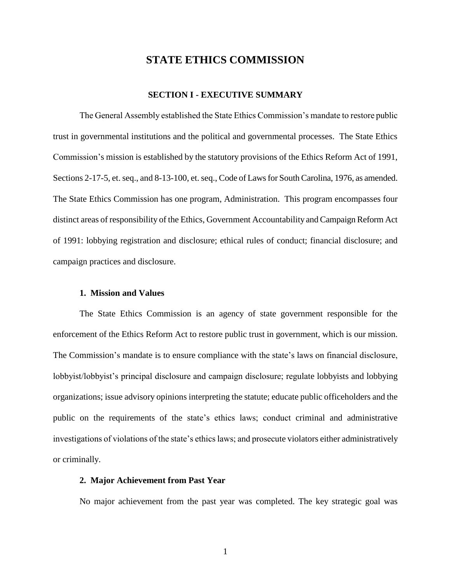# **STATE ETHICS COMMISSION**

# **SECTION I - EXECUTIVE SUMMARY**

The General Assembly established the State Ethics Commission's mandate to restore public trust in governmental institutions and the political and governmental processes. The State Ethics Commission's mission is established by the statutory provisions of the Ethics Reform Act of 1991, Sections 2-17-5, et. seq., and 8-13-100, et. seq., Code of Laws for South Carolina, 1976, as amended. The State Ethics Commission has one program, Administration. This program encompasses four distinct areas of responsibility of the Ethics, Government Accountability and Campaign Reform Act of 1991: lobbying registration and disclosure; ethical rules of conduct; financial disclosure; and campaign practices and disclosure.

### **1. Mission and Values**

The State Ethics Commission is an agency of state government responsible for the enforcement of the Ethics Reform Act to restore public trust in government, which is our mission. The Commission's mandate is to ensure compliance with the state's laws on financial disclosure, lobbyist/lobbyist's principal disclosure and campaign disclosure; regulate lobbyists and lobbying organizations; issue advisory opinions interpreting the statute; educate public officeholders and the public on the requirements of the state's ethics laws; conduct criminal and administrative investigations of violations of the state's ethics laws; and prosecute violators either administratively or criminally.

#### **2. Major Achievement from Past Year**

No major achievement from the past year was completed. The key strategic goal was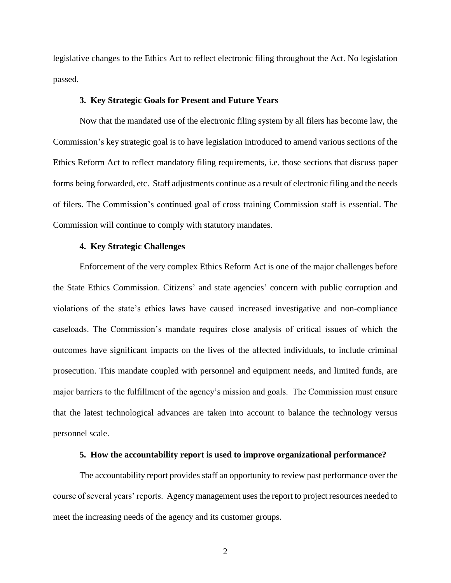legislative changes to the Ethics Act to reflect electronic filing throughout the Act. No legislation passed.

#### **3. Key Strategic Goals for Present and Future Years**

Now that the mandated use of the electronic filing system by all filers has become law, the Commission's key strategic goal is to have legislation introduced to amend various sections of the Ethics Reform Act to reflect mandatory filing requirements, i.e. those sections that discuss paper forms being forwarded, etc. Staff adjustments continue as a result of electronic filing and the needs of filers. The Commission's continued goal of cross training Commission staff is essential. The Commission will continue to comply with statutory mandates.

### **4. Key Strategic Challenges**

Enforcement of the very complex Ethics Reform Act is one of the major challenges before the State Ethics Commission. Citizens' and state agencies' concern with public corruption and violations of the state's ethics laws have caused increased investigative and non-compliance caseloads. The Commission's mandate requires close analysis of critical issues of which the outcomes have significant impacts on the lives of the affected individuals, to include criminal prosecution. This mandate coupled with personnel and equipment needs, and limited funds, are major barriers to the fulfillment of the agency's mission and goals. The Commission must ensure that the latest technological advances are taken into account to balance the technology versus personnel scale.

## **5. How the accountability report is used to improve organizational performance?**

The accountability report provides staff an opportunity to review past performance over the course of several years' reports. Agency management uses the report to project resources needed to meet the increasing needs of the agency and its customer groups.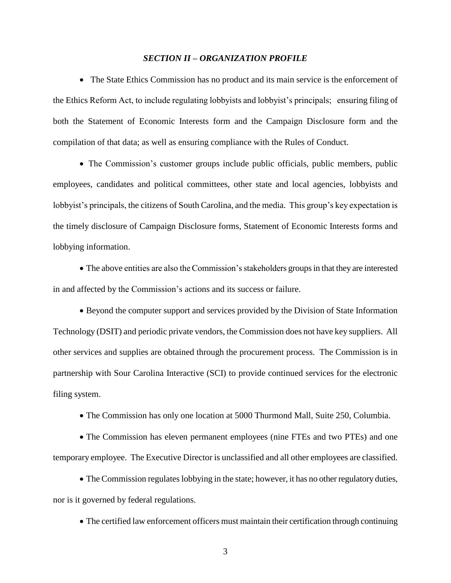#### *SECTION II – ORGANIZATION PROFILE*

• The State Ethics Commission has no product and its main service is the enforcement of the Ethics Reform Act, to include regulating lobbyists and lobbyist's principals; ensuring filing of both the Statement of Economic Interests form and the Campaign Disclosure form and the compilation of that data; as well as ensuring compliance with the Rules of Conduct.

 The Commission's customer groups include public officials, public members, public employees, candidates and political committees, other state and local agencies, lobbyists and lobbyist's principals, the citizens of South Carolina, and the media. This group's key expectation is the timely disclosure of Campaign Disclosure forms, Statement of Economic Interests forms and lobbying information.

 The above entities are also the Commission's stakeholders groups in that they are interested in and affected by the Commission's actions and its success or failure.

• Beyond the computer support and services provided by the Division of State Information Technology (DSIT) and periodic private vendors, the Commission does not have key suppliers. All other services and supplies are obtained through the procurement process. The Commission is in partnership with Sour Carolina Interactive (SCI) to provide continued services for the electronic filing system.

The Commission has only one location at 5000 Thurmond Mall, Suite 250, Columbia.

 The Commission has eleven permanent employees (nine FTEs and two PTEs) and one temporary employee. The Executive Director is unclassified and all other employees are classified.

 The Commission regulates lobbying in the state; however, it has no other regulatory duties, nor is it governed by federal regulations.

The certified law enforcement officers must maintain their certification through continuing

3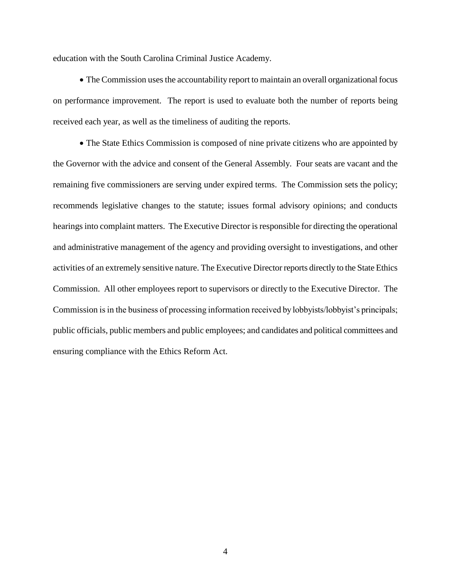education with the South Carolina Criminal Justice Academy.

 The Commission uses the accountability report to maintain an overall organizational focus on performance improvement. The report is used to evaluate both the number of reports being received each year, as well as the timeliness of auditing the reports.

 The State Ethics Commission is composed of nine private citizens who are appointed by the Governor with the advice and consent of the General Assembly. Four seats are vacant and the remaining five commissioners are serving under expired terms. The Commission sets the policy; recommends legislative changes to the statute; issues formal advisory opinions; and conducts hearings into complaint matters. The Executive Director is responsible for directing the operational and administrative management of the agency and providing oversight to investigations, and other activities of an extremely sensitive nature. The Executive Director reports directly to the State Ethics Commission. All other employees report to supervisors or directly to the Executive Director. The Commission is in the business of processing information received by lobbyists/lobbyist's principals; public officials, public members and public employees; and candidates and political committees and ensuring compliance with the Ethics Reform Act.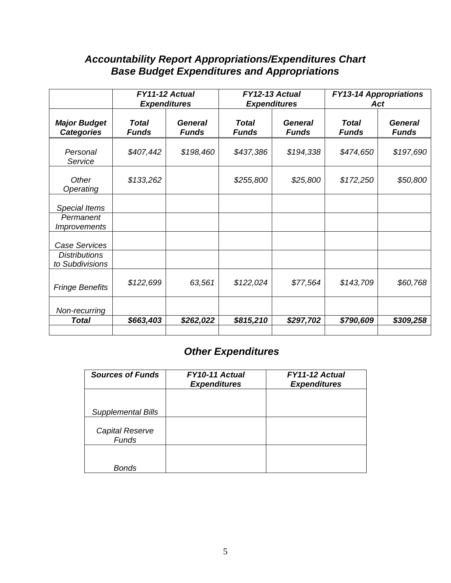# *Accountability Report Appropriations/Expenditures Chart Base Budget Expenditures and Appropriations*

|                                                                 | FY11-12 Actual<br><b>Expenditures</b> |                         |                              | FY12-13 Actual<br><b>Expenditures</b> | <b>FY13-14 Appropriations</b><br>Act |                                |  |
|-----------------------------------------------------------------|---------------------------------------|-------------------------|------------------------------|---------------------------------------|--------------------------------------|--------------------------------|--|
| <b>Major Budget</b><br><b>Categories</b>                        | Total<br><b>Funds</b>                 | General<br><b>Funds</b> | <b>Total</b><br><b>Funds</b> | <b>General</b><br><b>Funds</b>        | <b>Total</b><br><b>Funds</b>         | <b>General</b><br><b>Funds</b> |  |
| Personal<br>Service                                             | \$407,442                             | \$198,460               | \$437,386                    | \$194,338                             | \$474,650                            | \$197,690                      |  |
| Other<br>Operating                                              | \$133,262                             |                         | \$255,800                    | \$25,800                              | \$172,250                            | \$50,800                       |  |
| <b>Special Items</b><br>Permanent<br><i>Improvements</i>        |                                       |                         |                              |                                       |                                      |                                |  |
| <b>Case Services</b><br><b>Distributions</b><br>to Subdivisions |                                       |                         |                              |                                       |                                      |                                |  |
| <b>Fringe Benefits</b>                                          | \$122,699                             | 63,561                  | \$122,024                    | \$77,564                              | \$143,709                            | \$60,768                       |  |
| Non-recurring<br><b>Total</b>                                   | \$663,403                             | \$262,022               | \$815,210                    | \$297,702                             | \$790,609                            | \$309,258                      |  |

# *Other Expenditures*

| <b>Sources of Funds</b>   | FY10-11 Actual<br><b>Expenditures</b> | FY11-12 Actual<br><b>Expenditures</b> |
|---------------------------|---------------------------------------|---------------------------------------|
|                           |                                       |                                       |
| <b>Supplemental Bills</b> |                                       |                                       |
| Capital Reserve<br>Funds  |                                       |                                       |
|                           |                                       |                                       |
| Bonds                     |                                       |                                       |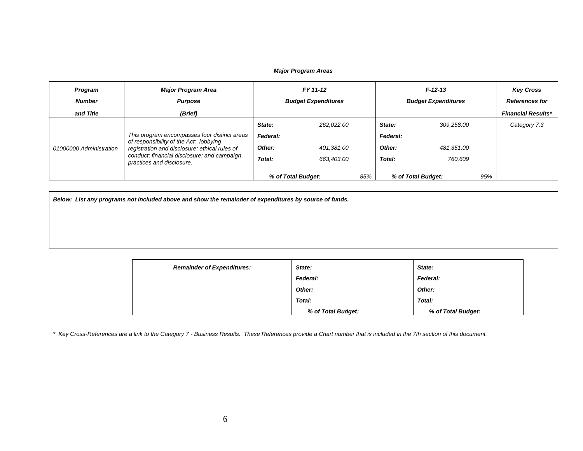#### *Major Program Areas*

| Program<br><b>Number</b> | <b>Major Program Area</b><br><b>Purpose</b>                                                                                                                                                                         | FY 11-12<br><b>Budget Expenditures</b> |                    |     | $F-12-13$<br><b>Budget Expenditures</b> |                           |  | <b>Key Cross</b><br><b>References for</b> |
|--------------------------|---------------------------------------------------------------------------------------------------------------------------------------------------------------------------------------------------------------------|----------------------------------------|--------------------|-----|-----------------------------------------|---------------------------|--|-------------------------------------------|
| and Title                | (Brief)                                                                                                                                                                                                             |                                        |                    |     |                                         |                           |  | <b>Financial Results*</b>                 |
| 01000000 Administration  | This program encompasses four distinct areas<br>of responsibility of the Act: lobbying<br>registration and disclosure; ethical rules of<br>conduct; financial disclosure; and campaign<br>practices and disclosure. | State:                                 | 262.022.00         |     | State:                                  | 309.258.00                |  | Category 7.3                              |
|                          |                                                                                                                                                                                                                     | Federal:                               |                    |     | Federal:                                |                           |  |                                           |
|                          |                                                                                                                                                                                                                     | Other:                                 | 401.381.00         |     | Other:                                  | 481,351.00                |  |                                           |
|                          |                                                                                                                                                                                                                     | Total:                                 | 663.403.00         |     | Total:                                  | 760,609                   |  |                                           |
|                          |                                                                                                                                                                                                                     |                                        | % of Total Budget: | 85% |                                         | 95%<br>% of Total Budget: |  |                                           |

*Below: List any programs not included above and show the remainder of expenditures by source of funds.*

| <b>Remainder of Expenditures:</b> | State:             | State:             |  |
|-----------------------------------|--------------------|--------------------|--|
|                                   | <b>Federal:</b>    | Federal:           |  |
|                                   | Other:             | Other:             |  |
|                                   | Total:             | Total:             |  |
|                                   | % of Total Budget: | % of Total Budget: |  |

*\* Key Cross-References are a link to the Category 7 - Business Results. These References provide a Chart number that is included in the 7th section of this document.*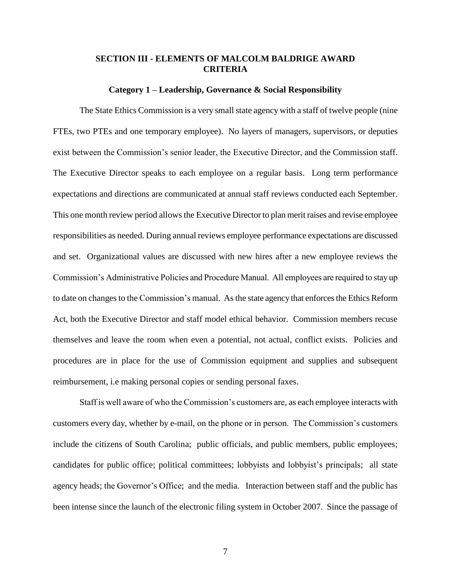# **SECTION III - ELEMENTS OF MALCOLM BALDRIGE AWARD CRITERIA**

#### **Category 1 – Leadership, Governance & Social Responsibility**

The State Ethics Commission is a very small state agency with a staff of twelve people (nine FTEs, two PTEs and one temporary employee). No layers of managers, supervisors, or deputies exist between the Commission's senior leader, the Executive Director, and the Commission staff. The Executive Director speaks to each employee on a regular basis. Long term performance expectations and directions are communicated at annual staff reviews conducted each September. This one month review period allows the Executive Director to plan merit raises and revise employee responsibilities as needed. During annual reviews employee performance expectations are discussed and set. Organizational values are discussed with new hires after a new employee reviews the Commission's Administrative Policies and Procedure Manual. All employees are required to stay up to date on changes to the Commission's manual. As the state agency that enforces the Ethics Reform Act, both the Executive Director and staff model ethical behavior. Commission members recuse themselves and leave the room when even a potential, not actual, conflict exists. Policies and procedures are in place for the use of Commission equipment and supplies and subsequent reimbursement, i.e making personal copies or sending personal faxes.

Staff is well aware of who the Commission's customers are, as each employee interacts with customers every day, whether by e-mail, on the phone or in person. The Commission's customers include the citizens of South Carolina; public officials, and public members, public employees; candidates for public office; political committees; lobbyists and lobbyist's principals; all state agency heads; the Governor's Office; and the media. Interaction between staff and the public has been intense since the launch of the electronic filing system in October 2007. Since the passage of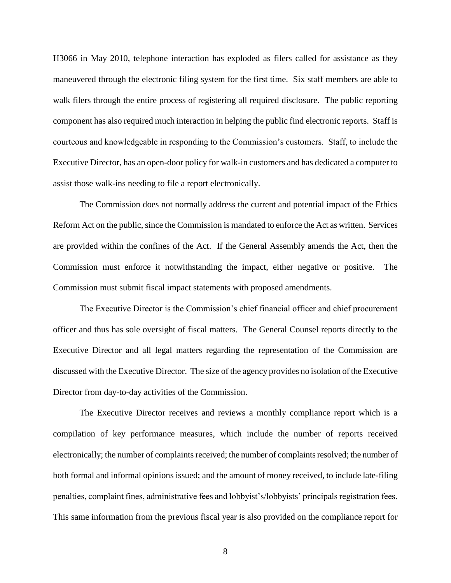H3066 in May 2010, telephone interaction has exploded as filers called for assistance as they maneuvered through the electronic filing system for the first time. Six staff members are able to walk filers through the entire process of registering all required disclosure. The public reporting component has also required much interaction in helping the public find electronic reports. Staff is courteous and knowledgeable in responding to the Commission's customers. Staff, to include the Executive Director, has an open-door policy for walk-in customers and has dedicated a computer to assist those walk-ins needing to file a report electronically.

The Commission does not normally address the current and potential impact of the Ethics Reform Act on the public, since the Commission is mandated to enforce the Act as written. Services are provided within the confines of the Act. If the General Assembly amends the Act, then the Commission must enforce it notwithstanding the impact, either negative or positive. The Commission must submit fiscal impact statements with proposed amendments.

The Executive Director is the Commission's chief financial officer and chief procurement officer and thus has sole oversight of fiscal matters. The General Counsel reports directly to the Executive Director and all legal matters regarding the representation of the Commission are discussed with the Executive Director. The size of the agency provides no isolation of the Executive Director from day-to-day activities of the Commission.

The Executive Director receives and reviews a monthly compliance report which is a compilation of key performance measures, which include the number of reports received electronically; the number of complaints received; the number of complaints resolved; the number of both formal and informal opinions issued; and the amount of money received, to include late-filing penalties, complaint fines, administrative fees and lobbyist's/lobbyists' principals registration fees. This same information from the previous fiscal year is also provided on the compliance report for

8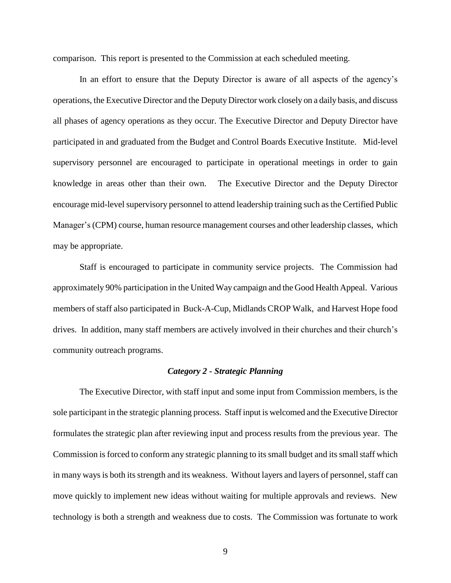comparison. This report is presented to the Commission at each scheduled meeting.

In an effort to ensure that the Deputy Director is aware of all aspects of the agency's operations, the Executive Director and the DeputyDirector work closely on a daily basis, and discuss all phases of agency operations as they occur. The Executive Director and Deputy Director have participated in and graduated from the Budget and Control Boards Executive Institute. Mid-level supervisory personnel are encouraged to participate in operational meetings in order to gain knowledge in areas other than their own. The Executive Director and the Deputy Director encourage mid-level supervisory personnel to attend leadership training such as the Certified Public Manager's (CPM) course, human resource management courses and other leadership classes, which may be appropriate.

Staff is encouraged to participate in community service projects. The Commission had approximately 90% participation in the United Way campaign and the Good Health Appeal. Various members of staff also participated in Buck-A-Cup, Midlands CROP Walk, and Harvest Hope food drives. In addition, many staff members are actively involved in their churches and their church's community outreach programs.

# *Category 2 - Strategic Planning*

The Executive Director, with staff input and some input from Commission members, is the sole participant in the strategic planning process. Staff input is welcomed and the Executive Director formulates the strategic plan after reviewing input and process results from the previous year. The Commission is forced to conform any strategic planning to its small budget and its small staff which in many ways is both its strength and its weakness. Without layers and layers of personnel, staff can move quickly to implement new ideas without waiting for multiple approvals and reviews. New technology is both a strength and weakness due to costs. The Commission was fortunate to work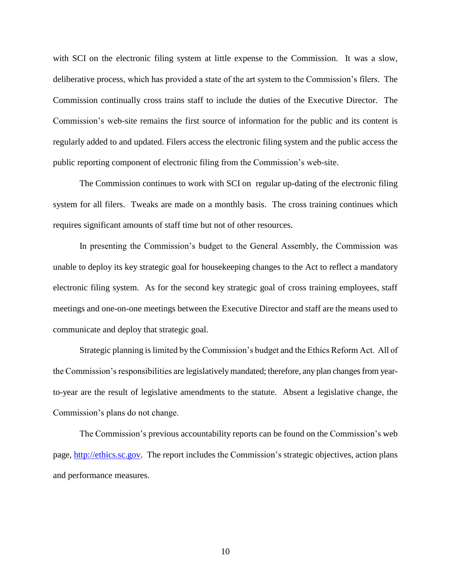with SCI on the electronic filing system at little expense to the Commission. It was a slow, deliberative process, which has provided a state of the art system to the Commission's filers. The Commission continually cross trains staff to include the duties of the Executive Director. The Commission's web-site remains the first source of information for the public and its content is regularly added to and updated. Filers access the electronic filing system and the public access the public reporting component of electronic filing from the Commission's web-site.

The Commission continues to work with SCI on regular up-dating of the electronic filing system for all filers. Tweaks are made on a monthly basis. The cross training continues which requires significant amounts of staff time but not of other resources.

In presenting the Commission's budget to the General Assembly, the Commission was unable to deploy its key strategic goal for housekeeping changes to the Act to reflect a mandatory electronic filing system. As for the second key strategic goal of cross training employees, staff meetings and one-on-one meetings between the Executive Director and staff are the means used to communicate and deploy that strategic goal.

Strategic planning is limited by the Commission's budget and the Ethics Reform Act. All of the Commission's responsibilities are legislatively mandated; therefore, any plan changes from yearto-year are the result of legislative amendments to the statute. Absent a legislative change, the Commission's plans do not change.

The Commission's previous accountability reports can be found on the Commission's web page, [http://ethics.sc.gov.](http://ethics.sc.gov/) The report includes the Commission's strategic objectives, action plans and performance measures.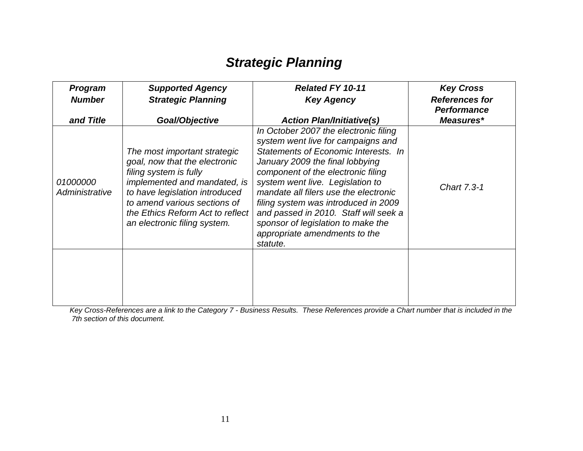# *Strategic Planning*

| <b>Program</b><br><b>Number</b> | <b>Supported Agency</b><br><b>Strategic Planning</b>                                                                                                                                                                                                          | <b>Related FY 10-11</b><br><b>Key Agency</b>                                                                                                                                                                                                                                                                                                                                                                                                  | <b>Key Cross</b><br><b>References for</b><br><b>Performance</b> |
|---------------------------------|---------------------------------------------------------------------------------------------------------------------------------------------------------------------------------------------------------------------------------------------------------------|-----------------------------------------------------------------------------------------------------------------------------------------------------------------------------------------------------------------------------------------------------------------------------------------------------------------------------------------------------------------------------------------------------------------------------------------------|-----------------------------------------------------------------|
| and Title                       | Goal/Objective                                                                                                                                                                                                                                                | <b>Action Plan/Initiative(s)</b>                                                                                                                                                                                                                                                                                                                                                                                                              | Measures*                                                       |
| 01000000<br>Administrative      | The most important strategic<br>goal, now that the electronic<br>filing system is fully<br>implemented and mandated, is<br>to have legislation introduced<br>to amend various sections of<br>the Ethics Reform Act to reflect<br>an electronic filing system. | In October 2007 the electronic filing<br>system went live for campaigns and<br>Statements of Economic Interests. In<br>January 2009 the final lobbying<br>component of the electronic filing<br>system went live. Legislation to<br>mandate all filers use the electronic<br>filing system was introduced in 2009<br>and passed in 2010. Staff will seek a<br>sponsor of legislation to make the<br>appropriate amendments to the<br>statute. | Chart 7.3-1                                                     |
|                                 |                                                                                                                                                                                                                                                               |                                                                                                                                                                                                                                                                                                                                                                                                                                               |                                                                 |

*Key Cross-References are a link to the Category 7 - Business Results. These References provide a Chart number that is included in the 7th section of this document.*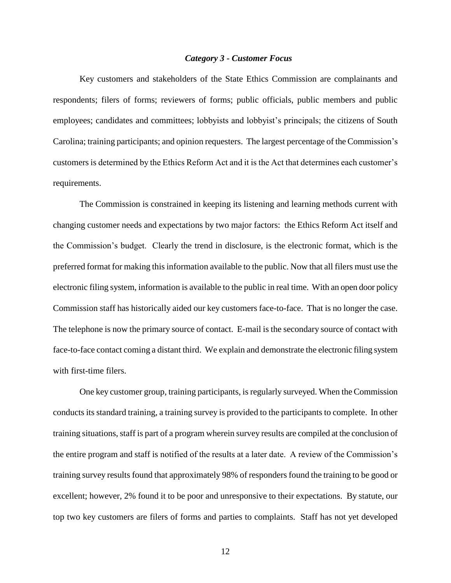### *Category 3 - Customer Focus*

Key customers and stakeholders of the State Ethics Commission are complainants and respondents; filers of forms; reviewers of forms; public officials, public members and public employees; candidates and committees; lobbyists and lobbyist's principals; the citizens of South Carolina; training participants; and opinion requesters. The largest percentage of the Commission's customers is determined by the Ethics Reform Act and it is the Act that determines each customer's requirements.

The Commission is constrained in keeping its listening and learning methods current with changing customer needs and expectations by two major factors: the Ethics Reform Act itself and the Commission's budget. Clearly the trend in disclosure, is the electronic format, which is the preferred format for making this information available to the public. Now that all filers must use the electronic filing system, information is available to the public in real time. With an open door policy Commission staff has historically aided our key customers face-to-face. That is no longer the case. The telephone is now the primary source of contact. E-mail is the secondary source of contact with face-to-face contact coming a distant third. We explain and demonstrate the electronic filing system with first-time filers.

One key customer group, training participants, is regularly surveyed. When the Commission conducts its standard training, a training survey is provided to the participants to complete. In other training situations, staff is part of a program wherein survey results are compiled at the conclusion of the entire program and staff is notified of the results at a later date. A review of the Commission's training survey results found that approximately 98% of responders found the training to be good or excellent; however, 2% found it to be poor and unresponsive to their expectations. By statute, our top two key customers are filers of forms and parties to complaints. Staff has not yet developed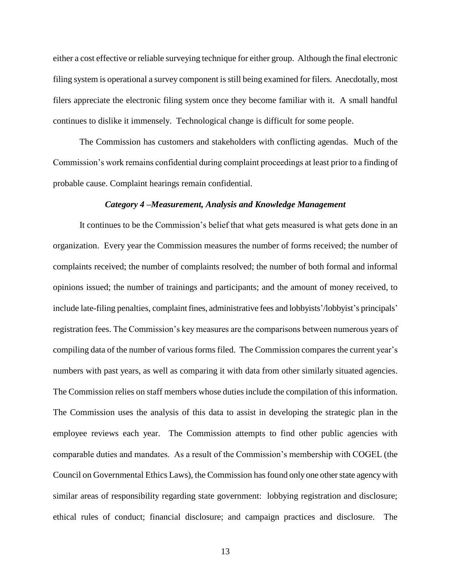either a cost effective or reliable surveying technique for either group. Although the final electronic filing system is operational a survey component is still being examined for filers. Anecdotally, most filers appreciate the electronic filing system once they become familiar with it. A small handful continues to dislike it immensely. Technological change is difficult for some people.

The Commission has customers and stakeholders with conflicting agendas. Much of the Commission's work remains confidential during complaint proceedings at least prior to a finding of probable cause. Complaint hearings remain confidential.

#### *Category 4 –Measurement, Analysis and Knowledge Management*

It continues to be the Commission's belief that what gets measured is what gets done in an organization. Every year the Commission measures the number of forms received; the number of complaints received; the number of complaints resolved; the number of both formal and informal opinions issued; the number of trainings and participants; and the amount of money received, to include late-filing penalties, complaint fines, administrative fees and lobbyists'/lobbyist's principals' registration fees. The Commission's key measures are the comparisons between numerous years of compiling data of the number of various forms filed. The Commission compares the current year's numbers with past years, as well as comparing it with data from other similarly situated agencies. The Commission relies on staff members whose duties include the compilation of this information. The Commission uses the analysis of this data to assist in developing the strategic plan in the employee reviews each year. The Commission attempts to find other public agencies with comparable duties and mandates. As a result of the Commission's membership with COGEL (the Council on Governmental Ethics Laws), the Commission has found only one other state agency with similar areas of responsibility regarding state government: lobbying registration and disclosure; ethical rules of conduct; financial disclosure; and campaign practices and disclosure. The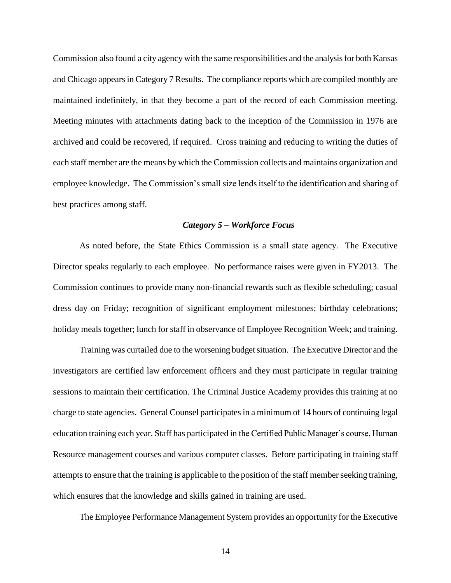Commission also found a city agency with the same responsibilities and the analysis for both Kansas and Chicago appears in Category 7 Results. The compliance reports which are compiled monthly are maintained indefinitely, in that they become a part of the record of each Commission meeting. Meeting minutes with attachments dating back to the inception of the Commission in 1976 are archived and could be recovered, if required. Cross training and reducing to writing the duties of each staff member are the means by which the Commission collects and maintains organization and employee knowledge. The Commission's small size lends itself to the identification and sharing of best practices among staff.

# *Category 5 – Workforce Focus*

As noted before, the State Ethics Commission is a small state agency. The Executive Director speaks regularly to each employee. No performance raises were given in FY2013. The Commission continues to provide many non-financial rewards such as flexible scheduling; casual dress day on Friday; recognition of significant employment milestones; birthday celebrations; holiday meals together; lunch for staff in observance of Employee Recognition Week; and training.

Training was curtailed due to the worsening budget situation. The Executive Director and the investigators are certified law enforcement officers and they must participate in regular training sessions to maintain their certification. The Criminal Justice Academy provides this training at no charge to state agencies. General Counsel participates in a minimum of 14 hours of continuing legal education training each year. Staff has participated in the Certified Public Manager's course, Human Resource management courses and various computer classes. Before participating in training staff attempts to ensure that the training is applicable to the position of the staff member seeking training, which ensures that the knowledge and skills gained in training are used.

The Employee Performance Management System provides an opportunity for the Executive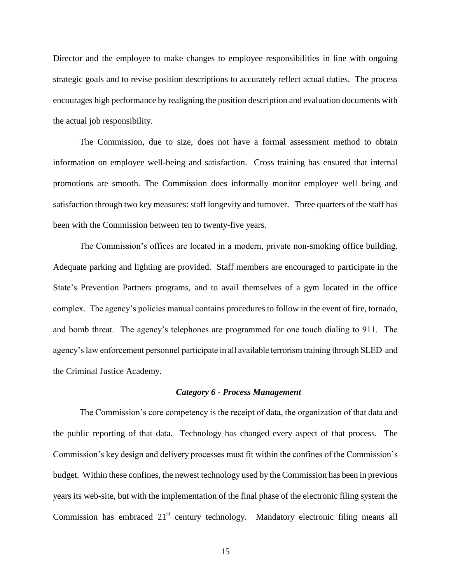Director and the employee to make changes to employee responsibilities in line with ongoing strategic goals and to revise position descriptions to accurately reflect actual duties. The process encourages high performance by realigning the position description and evaluation documents with the actual job responsibility.

The Commission, due to size, does not have a formal assessment method to obtain information on employee well-being and satisfaction. Cross training has ensured that internal promotions are smooth. The Commission does informally monitor employee well being and satisfaction through two key measures: staff longevity and turnover. Three quarters of the staff has been with the Commission between ten to twenty-five years.

The Commission's offices are located in a modern, private non-smoking office building. Adequate parking and lighting are provided. Staff members are encouraged to participate in the State's Prevention Partners programs, and to avail themselves of a gym located in the office complex. The agency's policies manual contains procedures to follow in the event of fire, tornado, and bomb threat. The agency's telephones are programmed for one touch dialing to 911. The agency's law enforcement personnel participate in all available terrorism training through SLED and the Criminal Justice Academy.

#### *Category 6 - Process Management*

The Commission's core competency is the receipt of data, the organization of that data and the public reporting of that data. Technology has changed every aspect of that process. The Commission's key design and delivery processes must fit within the confines of the Commission's budget. Within these confines, the newest technology used by the Commission has been in previous years its web-site, but with the implementation of the final phase of the electronic filing system the Commission has embraced  $21<sup>st</sup>$  century technology. Mandatory electronic filing means all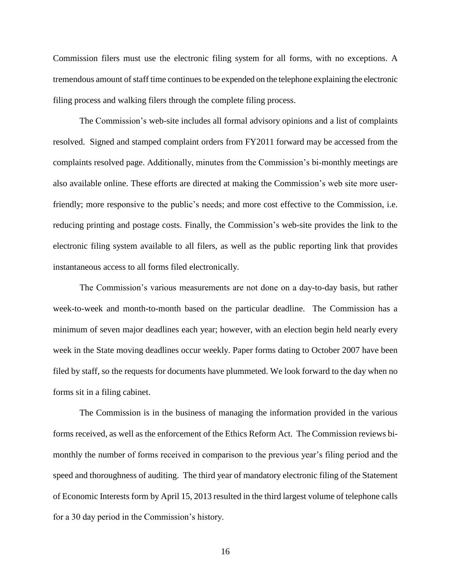Commission filers must use the electronic filing system for all forms, with no exceptions. A tremendous amount of staff time continues to be expended on the telephone explaining the electronic filing process and walking filers through the complete filing process.

The Commission's web-site includes all formal advisory opinions and a list of complaints resolved. Signed and stamped complaint orders from FY2011 forward may be accessed from the complaints resolved page. Additionally, minutes from the Commission's bi-monthly meetings are also available online. These efforts are directed at making the Commission's web site more userfriendly; more responsive to the public's needs; and more cost effective to the Commission, i.e. reducing printing and postage costs. Finally, the Commission's web-site provides the link to the electronic filing system available to all filers, as well as the public reporting link that provides instantaneous access to all forms filed electronically.

The Commission's various measurements are not done on a day-to-day basis, but rather week-to-week and month-to-month based on the particular deadline. The Commission has a minimum of seven major deadlines each year; however, with an election begin held nearly every week in the State moving deadlines occur weekly. Paper forms dating to October 2007 have been filed by staff, so the requests for documents have plummeted. We look forward to the day when no forms sit in a filing cabinet.

The Commission is in the business of managing the information provided in the various forms received, as well as the enforcement of the Ethics Reform Act. The Commission reviews bimonthly the number of forms received in comparison to the previous year's filing period and the speed and thoroughness of auditing. The third year of mandatory electronic filing of the Statement of Economic Interests form by April 15, 2013 resulted in the third largest volume of telephone calls for a 30 day period in the Commission's history.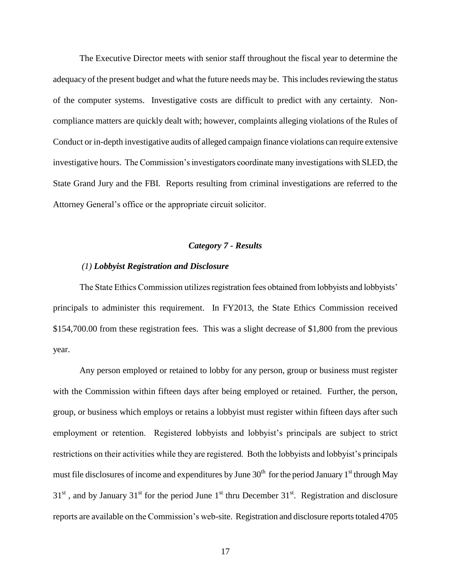The Executive Director meets with senior staff throughout the fiscal year to determine the adequacy of the present budget and what the future needs may be. This includes reviewing the status of the computer systems. Investigative costs are difficult to predict with any certainty. Noncompliance matters are quickly dealt with; however, complaints alleging violations of the Rules of Conduct or in-depth investigative audits of alleged campaign finance violations can require extensive investigative hours. The Commission's investigators coordinate many investigations with SLED, the State Grand Jury and the FBI. Reports resulting from criminal investigations are referred to the Attorney General's office or the appropriate circuit solicitor.

### *Category 7 - Results*

#### *(1) Lobbyist Registration and Disclosure*

The State Ethics Commission utilizes registration fees obtained from lobbyists and lobbyists' principals to administer this requirement. In FY2013, the State Ethics Commission received \$154,700.00 from these registration fees. This was a slight decrease of \$1,800 from the previous year.

Any person employed or retained to lobby for any person, group or business must register with the Commission within fifteen days after being employed or retained. Further, the person, group, or business which employs or retains a lobbyist must register within fifteen days after such employment or retention. Registered lobbyists and lobbyist's principals are subject to strict restrictions on their activities while they are registered. Both the lobbyists and lobbyist's principals must file disclosures of income and expenditures by June  $30<sup>th</sup>$  for the period January 1<sup>st</sup> through May  $31<sup>st</sup>$ , and by January  $31<sup>st</sup>$  for the period June  $1<sup>st</sup>$  thru December  $31<sup>st</sup>$ . Registration and disclosure reports are available on the Commission's web-site. Registration and disclosure reports totaled 4705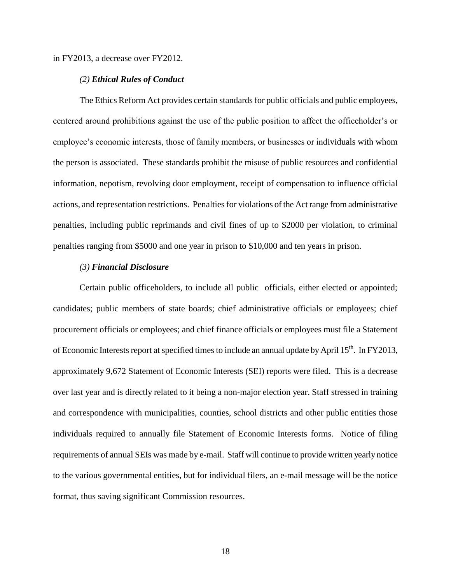in FY2013, a decrease over FY2012.

### *(2) Ethical Rules of Conduct*

The Ethics Reform Act provides certain standards for public officials and public employees, centered around prohibitions against the use of the public position to affect the officeholder's or employee's economic interests, those of family members, or businesses or individuals with whom the person is associated. These standards prohibit the misuse of public resources and confidential information, nepotism, revolving door employment, receipt of compensation to influence official actions, and representation restrictions. Penalties for violations of the Act range from administrative penalties, including public reprimands and civil fines of up to \$2000 per violation, to criminal penalties ranging from \$5000 and one year in prison to \$10,000 and ten years in prison.

# *(3) Financial Disclosure*

Certain public officeholders, to include all public officials, either elected or appointed; candidates; public members of state boards; chief administrative officials or employees; chief procurement officials or employees; and chief finance officials or employees must file a Statement of Economic Interests report at specified times to include an annual update by April 15<sup>th</sup>. In FY2013, approximately 9,672 Statement of Economic Interests (SEI) reports were filed. This is a decrease over last year and is directly related to it being a non-major election year. Staff stressed in training and correspondence with municipalities, counties, school districts and other public entities those individuals required to annually file Statement of Economic Interests forms. Notice of filing requirements of annual SEIs was made by e-mail. Staff will continue to provide written yearly notice to the various governmental entities, but for individual filers, an e-mail message will be the notice format, thus saving significant Commission resources.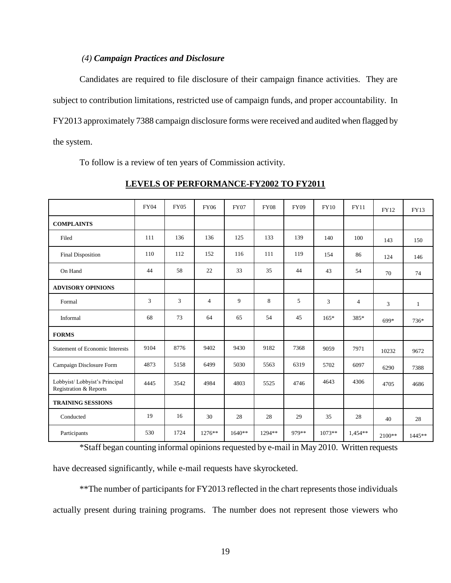## *(4) Campaign Practices and Disclosure*

Candidates are required to file disclosure of their campaign finance activities. They are subject to contribution limitations, restricted use of campaign funds, and proper accountability. In FY2013 approximately 7388 campaign disclosure forms were received and audited when flagged by the system.

To follow is a review of ten years of Commission activity.

|                                                         | <b>FY04</b> | <b>FY05</b> | <b>FY06</b>    | <b>FY07</b> | <b>FY08</b> | <b>FY09</b> | <b>FY10</b> | <b>FY11</b>    | FY12     | <b>FY13</b> |
|---------------------------------------------------------|-------------|-------------|----------------|-------------|-------------|-------------|-------------|----------------|----------|-------------|
| <b>COMPLAINTS</b>                                       |             |             |                |             |             |             |             |                |          |             |
| Filed                                                   | 111         | 136         | 136            | 125         | 133         | 139         | 140         | 100            | 143      | 150         |
| Final Disposition                                       | 110         | 112         | 152            | 116         | 111         | 119         | 154         | 86             | 124      | 146         |
| On Hand                                                 | 44          | 58          | 22             | 33          | 35          | 44          | 43          | 54             | 70       | 74          |
| <b>ADVISORY OPINIONS</b>                                |             |             |                |             |             |             |             |                |          |             |
| Formal                                                  | 3           | 3           | $\overline{4}$ | 9           | 8           | 5           | 3           | $\overline{4}$ | 3        | 1           |
| Informal                                                | 68          | 73          | 64             | 65          | 54          | 45          | $165*$      | 385*           | 699*     | 736*        |
| <b>FORMS</b>                                            |             |             |                |             |             |             |             |                |          |             |
| <b>Statement of Economic Interests</b>                  | 9104        | 8776        | 9402           | 9430        | 9182        | 7368        | 9059        | 7971           | 10232    | 9672        |
| Campaign Disclosure Form                                | 4873        | 5158        | 6499           | 5030        | 5563        | 6319        | 5702        | 6097           | 6290     | 7388        |
| Lobbyist/Lobbyist's Principal<br>Registration & Reports | 4445        | 3542        | 4984           | 4803        | 5525        | 4746        | 4643        | 4306           | 4705     | 4686        |
| <b>TRAINING SESSIONS</b>                                |             |             |                |             |             |             |             |                |          |             |
| Conducted                                               | 19          | 16          | 30             | 28          | 28          | 29          | 35          | 28             | 40       | 28          |
| Participants                                            | 530         | 1724        | $1276**$       | $1640**$    | $1294**$    | 979**       | $1073**$    | $1.454**$      | $2100**$ | 1445**      |

**LEVELS OF PERFORMANCE-FY2002 TO FY2011**

\*Staff began counting informal opinions requested by e-mail in May 2010. Written requests have decreased significantly, while e-mail requests have skyrocketed.

\*\*The number of participants for FY2013 reflected in the chart represents those individuals actually present during training programs. The number does not represent those viewers who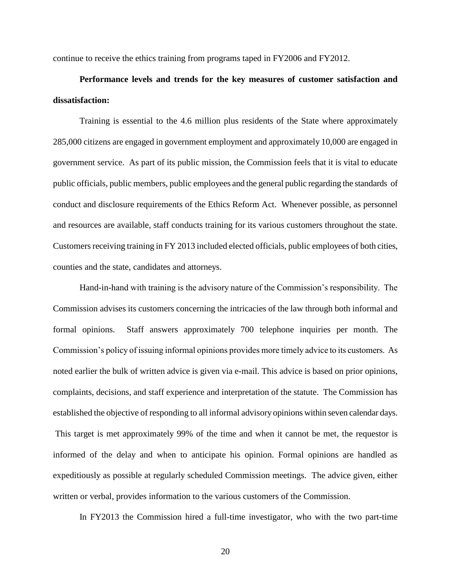continue to receive the ethics training from programs taped in FY2006 and FY2012.

# **Performance levels and trends for the key measures of customer satisfaction and dissatisfaction:**

Training is essential to the 4.6 million plus residents of the State where approximately 285,000 citizens are engaged in government employment and approximately 10,000 are engaged in government service. As part of its public mission, the Commission feels that it is vital to educate public officials, public members, public employees and the general public regarding the standards of conduct and disclosure requirements of the Ethics Reform Act. Whenever possible, as personnel and resources are available, staff conducts training for its various customers throughout the state. Customers receiving training in FY 2013 included elected officials, public employees of both cities, counties and the state, candidates and attorneys.

Hand-in-hand with training is the advisory nature of the Commission's responsibility. The Commission advises its customers concerning the intricacies of the law through both informal and formal opinions. Staff answers approximately 700 telephone inquiries per month. The Commission's policy of issuing informal opinions provides more timely advice to its customers. As noted earlier the bulk of written advice is given via e-mail. This advice is based on prior opinions, complaints, decisions, and staff experience and interpretation of the statute. The Commission has established the objective of responding to all informal advisory opinions within seven calendar days. This target is met approximately 99% of the time and when it cannot be met, the requestor is informed of the delay and when to anticipate his opinion. Formal opinions are handled as expeditiously as possible at regularly scheduled Commission meetings. The advice given, either written or verbal, provides information to the various customers of the Commission.

In FY2013 the Commission hired a full-time investigator, who with the two part-time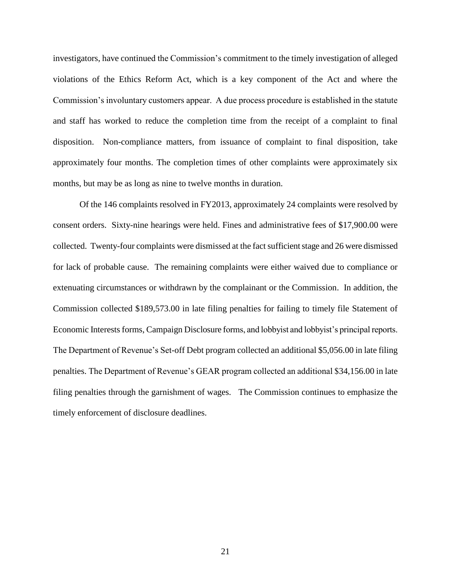investigators, have continued the Commission's commitment to the timely investigation of alleged violations of the Ethics Reform Act, which is a key component of the Act and where the Commission's involuntary customers appear. A due process procedure is established in the statute and staff has worked to reduce the completion time from the receipt of a complaint to final disposition. Non-compliance matters, from issuance of complaint to final disposition, take approximately four months. The completion times of other complaints were approximately six months, but may be as long as nine to twelve months in duration.

Of the 146 complaints resolved in FY2013, approximately 24 complaints were resolved by consent orders.Sixty-nine hearings were held. Fines and administrative fees of \$17,900.00 were collected. Twenty-four complaints were dismissed at the fact sufficient stage and 26 were dismissed for lack of probable cause.The remaining complaints were either waived due to compliance or extenuating circumstances or withdrawn by the complainant or the Commission. In addition, the Commission collected \$189,573.00 in late filing penalties for failing to timely file Statement of Economic Interests forms, Campaign Disclosure forms, and lobbyist and lobbyist's principal reports. The Department of Revenue's Set-off Debt program collected an additional \$5,056.00 in late filing penalties. The Department of Revenue's GEAR program collected an additional \$34,156.00 in late filing penalties through the garnishment of wages. The Commission continues to emphasize the timely enforcement of disclosure deadlines.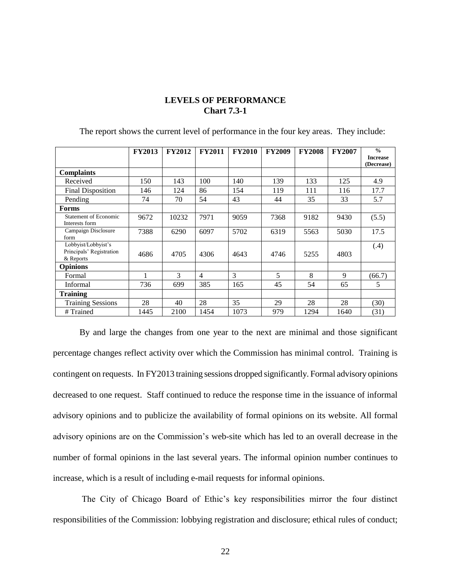# **LEVELS OF PERFORMANCE Chart 7.3-1**

|                                                              | <b>FY2013</b> | <b>FY2012</b> | <b>FY2011</b>  | <b>FY2010</b> | <b>FY2009</b> | <b>FY2008</b> | <b>FY2007</b> | $\frac{0}{n}$<br><b>Increase</b><br>(Decrease) |
|--------------------------------------------------------------|---------------|---------------|----------------|---------------|---------------|---------------|---------------|------------------------------------------------|
| <b>Complaints</b>                                            |               |               |                |               |               |               |               |                                                |
| Received                                                     | 150           | 143           | 100            | 140           | 139           | 133           | 125           | 4.9                                            |
| <b>Final Disposition</b>                                     | 146           | 124           | 86             | 154           | 119           | 111           | 116           | 17.7                                           |
| Pending                                                      | 74            | 70            | 54             | 43            | 44            | 35            | 33            | 5.7                                            |
| Forms                                                        |               |               |                |               |               |               |               |                                                |
| Statement of Economic<br>Interests form                      | 9672          | 10232         | 7971           | 9059          | 7368          | 9182          | 9430          | (5.5)                                          |
| Campaign Disclosure<br>form                                  | 7388          | 6290          | 6097           | 5702          | 6319          | 5563          | 5030          | 17.5                                           |
| Lobbyist/Lobbyist's<br>Principals' Registration<br>& Reports | 4686          | 4705          | 4306           | 4643          | 4746          | 5255          | 4803          | (.4)                                           |
| <b>Opinions</b>                                              |               |               |                |               |               |               |               |                                                |
| Formal                                                       |               | 3             | $\overline{4}$ | 3             | 5             | 8             | 9             | (66.7)                                         |
| <b>Informal</b>                                              | 736           | 699           | 385            | 165           | 45            | 54            | 65            | 5                                              |
| <b>Training</b>                                              |               |               |                |               |               |               |               |                                                |
| <b>Training Sessions</b>                                     | 28            | 40            | 28             | 35            | 29            | 28            | 28            | (30)                                           |
| # Trained                                                    | 1445          | 2100          | 1454           | 1073          | 979           | 1294          | 1640          | (31)                                           |

The report shows the current level of performance in the four key areas. They include:

By and large the changes from one year to the next are minimal and those significant percentage changes reflect activity over which the Commission has minimal control. Training is contingent on requests. In FY2013 training sessions dropped significantly. Formal advisory opinions decreased to one request. Staff continued to reduce the response time in the issuance of informal advisory opinions and to publicize the availability of formal opinions on its website. All formal advisory opinions are on the Commission's web-site which has led to an overall decrease in the number of formal opinions in the last several years. The informal opinion number continues to increase, which is a result of including e-mail requests for informal opinions.

The City of Chicago Board of Ethic's key responsibilities mirror the four distinct responsibilities of the Commission: lobbying registration and disclosure; ethical rules of conduct;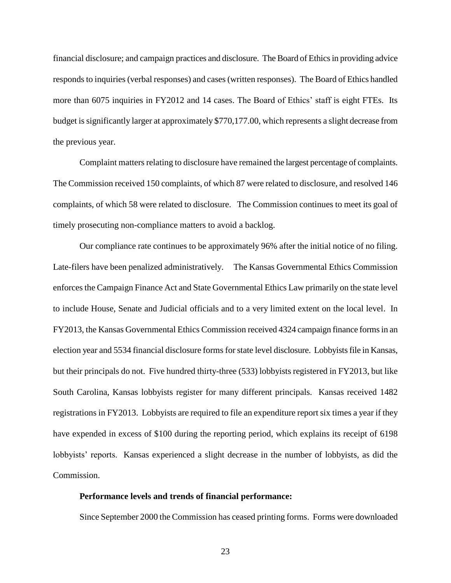financial disclosure; and campaign practices and disclosure.The Board of Ethics in providing advice responds to inquiries (verbal responses) and cases (written responses).The Board of Ethics handled more than 6075 inquiries in FY2012 and 14 cases. The Board of Ethics' staff is eight FTEs. Its budget is significantly larger at approximately \$770,177.00, which represents a slight decrease from the previous year.

Complaint matters relating to disclosure have remained the largest percentage of complaints. The Commission received 150 complaints, of which 87 were related to disclosure, and resolved 146 complaints, of which 58 were related to disclosure. The Commission continues to meet its goal of timely prosecuting non-compliance matters to avoid a backlog.

Our compliance rate continues to be approximately 96% after the initial notice of no filing. Late-filers have been penalized administratively. The Kansas Governmental Ethics Commission enforces the Campaign Finance Act and State Governmental Ethics Law primarily on the state level to include House, Senate and Judicial officials and to a very limited extent on the local level. In FY2013, the Kansas Governmental Ethics Commission received 4324 campaign finance forms in an election year and 5534 financial disclosure forms for state level disclosure. Lobbyists file in Kansas, but their principals do not. Five hundred thirty-three (533) lobbyists registered in FY2013, but like South Carolina, Kansas lobbyists register for many different principals. Kansas received 1482 registrations in FY2013. Lobbyists are required to file an expenditure report six times a year if they have expended in excess of \$100 during the reporting period, which explains its receipt of 6198 lobbyists' reports. Kansas experienced a slight decrease in the number of lobbyists, as did the Commission.

### **Performance levels and trends of financial performance:**

Since September 2000 the Commission has ceased printing forms. Forms were downloaded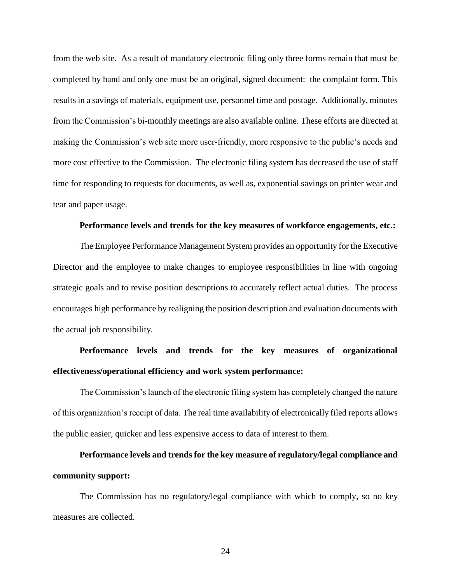from the web site. As a result of mandatory electronic filing only three forms remain that must be completed by hand and only one must be an original, signed document: the complaint form. This results in a savings of materials, equipment use, personnel time and postage. Additionally, minutes from the Commission's bi-monthly meetings are also available online. These efforts are directed at making the Commission's web site more user-friendly, more responsive to the public's needs and more cost effective to the Commission. The electronic filing system has decreased the use of staff time for responding to requests for documents, as well as, exponential savings on printer wear and tear and paper usage.

## **Performance levels and trends for the key measures of workforce engagements, etc.:**

The Employee Performance Management System provides an opportunity for the Executive Director and the employee to make changes to employee responsibilities in line with ongoing strategic goals and to revise position descriptions to accurately reflect actual duties. The process encourages high performance by realigning the position description and evaluation documents with the actual job responsibility.

# **Performance levels and trends for the key measures of organizational effectiveness/operational efficiency and work system performance:**

The Commission's launch of the electronic filing system has completely changed the nature of this organization's receipt of data. The real time availability of electronically filed reports allows the public easier, quicker and less expensive access to data of interest to them.

# **Performance levels and trends for the key measure of regulatory/legal compliance and community support:**

The Commission has no regulatory/legal compliance with which to comply, so no key measures are collected.